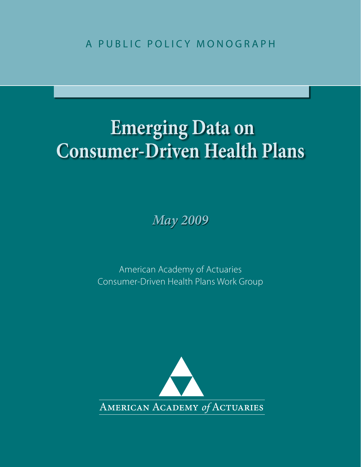A PUBLIC POLICY MONOGRAPH

# **Emerging Data on Consumer-Driven Health Plans**

*May 2009*

American Academy of Actuaries Consumer-Driven Health Plans Work Group

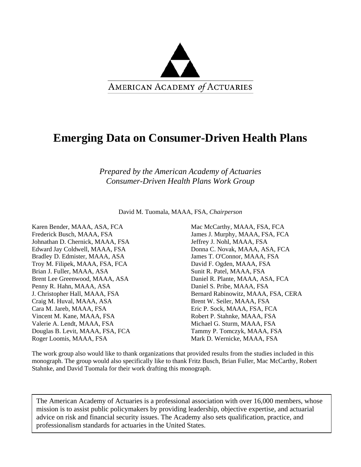

# **Emerging Data on Consumer-Driven Health Plans**

*Prepared by the American Academy of Actuaries Consumer-Driven Health Plans Work Group* 

David M. Tuomala, MAAA, FSA, *Chairperson* 

Karen Bender, MAAA, ASA, FCA Frederick Busch, MAAA, FSA Johnathan D. Chernick, MAAA, FSA Edward Jay Coldwell, MAAA, FSA Bradley D. Edmister, MAAA, ASA Troy M. Filipek, MAAA, FSA, FCA Brian J. Fuller, MAAA, ASA Brent Lee Greenwood, MAAA, ASA Penny R. Hahn, MAAA, ASA J. Christopher Hall, MAAA, FSA Craig M. Huval, MAAA, ASA Cara M. Jareb, MAAA, FSA Vincent M. Kane, MAAA, FSA Valerie A. Lendt, MAAA, FSA Douglas B. Levit, MAAA, FSA, FCA Roger Loomis, MAAA, FSA

Mac McCarthy, MAAA, FSA, FCA James J. Murphy, MAAA, FSA, FCA Jeffrey J. Nohl, MAAA, FSA Donna C. Novak, MAAA, ASA, FCA James T. O'Connor, MAAA, FSA David F. Ogden, MAAA, FSA Sunit R. Patel, MAAA, FSA Daniel R. Plante, MAAA, ASA, FCA Daniel S. Pribe, MAAA, FSA Bernard Rabinowitz, MAAA, FSA, CERA Brent W. Seiler, MAAA, FSA Eric P. Sock, MAAA, FSA, FCA Robert P. Stahnke, MAAA, FSA Michael G. Sturm, MAAA, FSA Tammy P. Tomczyk, MAAA, FSA Mark D. Wernicke, MAAA, FSA

The work group also would like to thank organizations that provided results from the studies included in this monograph. The group would also specifically like to thank Fritz Busch, Brian Fuller, Mac McCarthy, Robert Stahnke, and David Tuomala for their work drafting this monograph.

The American Academy of Actuaries is a professional association with over 16,000 members, whose mission is to assist public policymakers by providing leadership, objective expertise, and actuarial advice on risk and financial security issues. The Academy also sets qualification, practice, and professionalism standards for actuaries in the United States.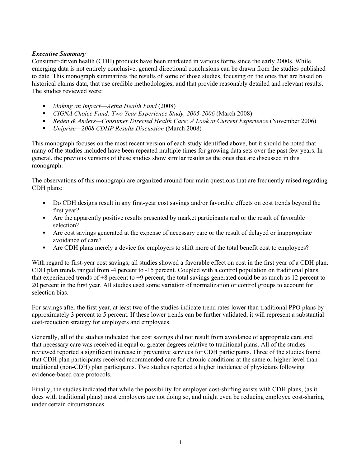# *Executive Summary*

Consumer-driven health (CDH) products have been marketed in various forms since the early 2000s. While emerging data is not entirely conclusive, general directional conclusions can be drawn from the studies published to date. This monograph summarizes the results of some of those studies, focusing on the ones that are based on historical claims data, that use credible methodologies, and that provide reasonably detailed and relevant results. The studies reviewed were:

- *Making an Impact*—*Aetna Health Fund* (2008)
- *CIGNA Choice Fund: Two Year Experience Study, 2005-2006* (March 2008)
- *Reden & Anders—Consumer Directed Health Care: A Look at Current Experience* (November 2006)
- *Uniprise—2008 CDHP Results Discussion* (March 2008)

This monograph focuses on the most recent version of each study identified above, but it should be noted that many of the studies included have been repeated multiple times for growing data sets over the past few years. In general, the previous versions of these studies show similar results as the ones that are discussed in this monograph.

The observations of this monograph are organized around four main questions that are frequently raised regarding CDH plans:

- Do CDH designs result in any first-year cost savings and/or favorable effects on cost trends beyond the first year?
- Are the apparently positive results presented by market participants real or the result of favorable selection?
- Are cost savings generated at the expense of necessary care or the result of delayed or inappropriate avoidance of care?
- Are CDH plans merely a device for employers to shift more of the total benefit cost to employees?

With regard to first-year cost savings, all studies showed a favorable effect on cost in the first year of a CDH plan. CDH plan trends ranged from -4 percent to -15 percent. Coupled with a control population on traditional plans that experienced trends of  $+8$  percent to  $+9$  percent, the total savings generated could be as much as 12 percent to 20 percent in the first year. All studies used some variation of normalization or control groups to account for selection bias.

For savings after the first year, at least two of the studies indicate trend rates lower than traditional PPO plans by approximately 3 percent to 5 percent. If these lower trends can be further validated, it will represent a substantial cost-reduction strategy for employers and employees.

Generally, all of the studies indicated that cost savings did not result from avoidance of appropriate care and that necessary care was received in equal or greater degrees relative to traditional plans. All of the studies reviewed reported a significant increase in preventive services for CDH participants. Three of the studies found that CDH plan participants received recommended care for chronic conditions at the same or higher level than traditional (non-CDH) plan participants. Two studies reported a higher incidence of physicians following evidence-based care protocols.

Finally, the studies indicated that while the possibility for employer cost-shifting exists with CDH plans, (as it does with traditional plans) most employers are not doing so, and might even be reducing employee cost-sharing under certain circumstances.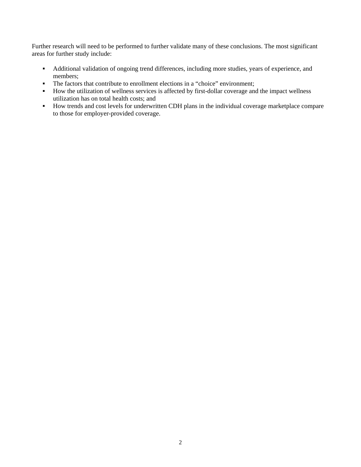Further research will need to be performed to further validate many of these conclusions. The most significant areas for further study include:

- Additional validation of ongoing trend differences, including more studies, years of experience, and members;
- The factors that contribute to enrollment elections in a "choice" environment;
- How the utilization of wellness services is affected by first-dollar coverage and the impact wellness utilization has on total health costs; and
- How trends and cost levels for underwritten CDH plans in the individual coverage marketplace compare to those for employer-provided coverage.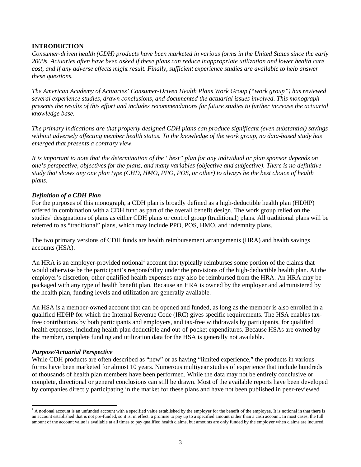# **INTRODUCTION**

*Consumer-driven health (CDH) products have been marketed in various forms in the United States since the early 2000s. Actuaries often have been asked if these plans can reduce inappropriate utilization and lower health care cost, and if any adverse effects might result. Finally, sufficient experience studies are available to help answer these questions.* 

*The American Academy of Actuaries' Consumer-Driven Health Plans Work Group ("work group") has reviewed several experience studies, drawn conclusions, and documented the actuarial issues involved. This monograph presents the results of this effort and includes recommendations for future studies to further increase the actuarial knowledge base.* 

*The primary indications are that properly designed CDH plans can produce significant (even substantial) savings without adversely affecting member health status. To the knowledge of the work group, no data-based study has emerged that presents a contrary view.* 

*It is important to note that the determination of the "best" plan for any individual or plan sponsor depends on one's perspective, objectives for the plans, and many variables (objective and subjective). There is no definitive study that shows any one plan type (CHD, HMO, PPO, POS, or other) to always be the best choice of health plans.* 

#### *Definition of a CDH Plan*

For the purposes of this monograph, a CDH plan is broadly defined as a high-deductible health plan (HDHP) offered in combination with a CDH fund as part of the overall benefit design. The work group relied on the studies' designations of plans as either CDH plans or control group (traditional) plans. All traditional plans will be referred to as "traditional" plans, which may include PPO, POS, HMO, and indemnity plans.

The two primary versions of CDH funds are health reimbursement arrangements (HRA) and health savings accounts (HSA).

An HRA is an employer-provided notional<sup>1</sup> account that typically reimburses some portion of the claims that would otherwise be the participant's responsibility under the provisions of the high-deductible health plan. At the employer's discretion, other qualified health expenses may also be reimbursed from the HRA. An HRA may be packaged with any type of health benefit plan. Because an HRA is owned by the employer and administered by the health plan, funding levels and utilization are generally available.

An HSA is a member-owned account that can be opened and funded, as long as the member is also enrolled in a qualified HDHP for which the Internal Revenue Code (IRC) gives specific requirements. The HSA enables taxfree contributions by both participants and employers, and tax-free withdrawals by participants, for qualified health expenses, including health plan deductible and out-of-pocket expenditures. Because HSAs are owned by the member, complete funding and utilization data for the HSA is generally not available.

#### *Purpose/Actuarial Perspective*

 $\overline{a}$ 

While CDH products are often described as "new" or as having "limited experience," the products in various forms have been marketed for almost 10 years. Numerous multiyear studies of experience that include hundreds of thousands of health plan members have been performed. While the data may not be entirely conclusive or complete, directional or general conclusions can still be drawn. Most of the available reports have been developed by companies directly participating in the market for these plans and have not been published in peer-reviewed

<sup>&</sup>lt;sup>1</sup> A notional account is an unfunded account with a specified value established by the employer for the benefit of the employee. It is notional in that there is an account established that is not pre-funded, so it is, in effect, a promise to pay up to a specified amount rather than a cash account. In most cases, the full amount of the account value is available at all times to pay qualified health claims, but amounts are only funded by the employer when claims are incurred.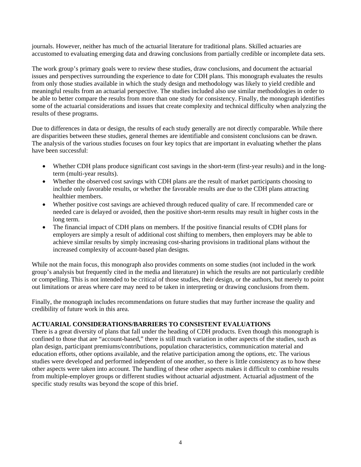journals. However, neither has much of the actuarial literature for traditional plans. Skilled actuaries are accustomed to evaluating emerging data and drawing conclusions from partially credible or incomplete data sets.

The work group's primary goals were to review these studies, draw conclusions, and document the actuarial issues and perspectives surrounding the experience to date for CDH plans. This monograph evaluates the results from only those studies available in which the study design and methodology was likely to yield credible and meaningful results from an actuarial perspective. The studies included also use similar methodologies in order to be able to better compare the results from more than one study for consistency. Finally, the monograph identifies some of the actuarial considerations and issues that create complexity and technical difficulty when analyzing the results of these programs.

Due to differences in data or design, the results of each study generally are not directly comparable. While there are disparities between these studies, general themes are identifiable and consistent conclusions can be drawn. The analysis of the various studies focuses on four key topics that are important in evaluating whether the plans have been successful:

- Whether CDH plans produce significant cost savings in the short-term (first-year results) and in the longterm (multi-year results).
- Whether the observed cost savings with CDH plans are the result of market participants choosing to include only favorable results, or whether the favorable results are due to the CDH plans attracting healthier members.
- Whether positive cost savings are achieved through reduced quality of care. If recommended care or needed care is delayed or avoided, then the positive short-term results may result in higher costs in the long term.
- The financial impact of CDH plans on members. If the positive financial results of CDH plans for employers are simply a result of additional cost shifting to members, then employers may be able to achieve similar results by simply increasing cost-sharing provisions in traditional plans without the increased complexity of account-based plan designs.

While not the main focus, this monograph also provides comments on some studies (not included in the work group's analysis but frequently cited in the media and literature) in which the results are not particularly credible or compelling. This is not intended to be critical of those studies, their design, or the authors, but merely to point out limitations or areas where care may need to be taken in interpreting or drawing conclusions from them.

Finally, the monograph includes recommendations on future studies that may further increase the quality and credibility of future work in this area.

# **ACTUARIAL CONSIDERATIONS/BARRIERS TO CONSISTENT EVALUATIONS**

There is a great diversity of plans that fall under the heading of CDH products. Even though this monograph is confined to those that are "account-based," there is still much variation in other aspects of the studies, such as plan design, participant premiums/contributions, population characteristics, communication material and education efforts, other options available, and the relative participation among the options, etc. The various studies were developed and performed independent of one another, so there is little consistency as to how these other aspects were taken into account. The handling of these other aspects makes it difficult to combine results from multiple-employer groups or different studies without actuarial adjustment. Actuarial adjustment of the specific study results was beyond the scope of this brief.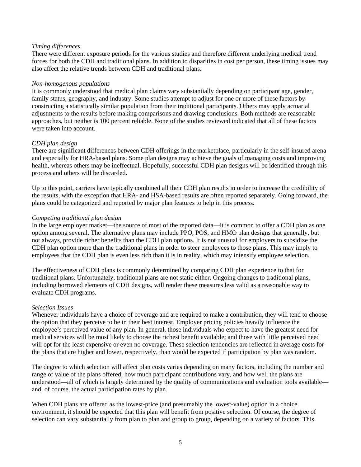# *Timing differences*

There were different exposure periods for the various studies and therefore different underlying medical trend forces for both the CDH and traditional plans. In addition to disparities in cost per person, these timing issues may also affect the relative trends between CDH and traditional plans.

#### *Non-homogenous populations*

It is commonly understood that medical plan claims vary substantially depending on participant age, gender, family status, geography, and industry. Some studies attempt to adjust for one or more of these factors by constructing a statistically similar population from their traditional participants. Others may apply actuarial adjustments to the results before making comparisons and drawing conclusions. Both methods are reasonable approaches, but neither is 100 percent reliable. None of the studies reviewed indicated that all of these factors were taken into account.

# *CDH plan design*

There are significant differences between CDH offerings in the marketplace, particularly in the self-insured arena and especially for HRA-based plans. Some plan designs may achieve the goals of managing costs and improving health, whereas others may be ineffectual. Hopefully, successful CDH plan designs will be identified through this process and others will be discarded.

Up to this point, carriers have typically combined all their CDH plan results in order to increase the credibility of the results, with the exception that HRA- and HSA-based results are often reported separately. Going forward, the plans could be categorized and reported by major plan features to help in this process.

#### *Competing traditional plan design*

In the large employer market—the source of most of the reported data—it is common to offer a CDH plan as one option among several. The alternative plans may include PPO, POS, and HMO plan designs that generally, but not always, provide richer benefits than the CDH plan options. It is not unusual for employers to subsidize the CDH plan option more than the traditional plans in order to steer employees to those plans. This may imply to employees that the CDH plan is even less rich than it is in reality, which may intensify employee selection.

The effectiveness of CDH plans is commonly determined by comparing CDH plan experience to that for traditional plans. Unfortunately, traditional plans are not static either. Ongoing changes to traditional plans, including borrowed elements of CDH designs, will render these measures less valid as a reasonable way to evaluate CDH programs.

#### *Selection Issues*

Whenever individuals have a choice of coverage and are required to make a contribution, they will tend to choose the option that they perceive to be in their best interest. Employer pricing policies heavily influence the employee's perceived value of any plan. In general, those individuals who expect to have the greatest need for medical services will be most likely to choose the richest benefit available; and those with little perceived need will opt for the least expensive or even no coverage. These selection tendencies are reflected in average costs for the plans that are higher and lower, respectively, than would be expected if participation by plan was random.

The degree to which selection will affect plan costs varies depending on many factors, including the number and range of value of the plans offered, how much participant contributions vary, and how well the plans are understood—all of which is largely determined by the quality of communications and evaluation tools available and, of course, the actual participation rates by plan.

When CDH plans are offered as the lowest-price (and presumably the lowest-value) option in a choice environment, it should be expected that this plan will benefit from positive selection. Of course, the degree of selection can vary substantially from plan to plan and group to group, depending on a variety of factors. This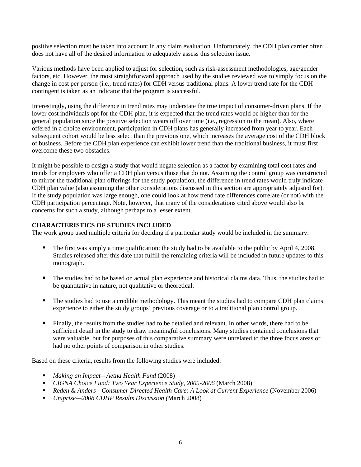positive selection must be taken into account in any claim evaluation. Unfortunately, the CDH plan carrier often does not have all of the desired information to adequately assess this selection issue.

Various methods have been applied to adjust for selection, such as risk-assessment methodologies, age/gender factors, etc. However, the most straightforward approach used by the studies reviewed was to simply focus on the change in cost per person (i.e., trend rates) for CDH versus traditional plans. A lower trend rate for the CDH contingent is taken as an indicator that the program is successful.

Interestingly, using the difference in trend rates may understate the true impact of consumer-driven plans. If the lower cost individuals opt for the CDH plan, it is expected that the trend rates would be higher than for the general population since the positive selection wears off over time (i.e., regression to the mean). Also, where offered in a choice environment, participation in CDH plans has generally increased from year to year. Each subsequent cohort would be less select than the previous one, which increases the average cost of the CDH block of business. Before the CDH plan experience can exhibit lower trend than the traditional business, it must first overcome these two obstacles.

It might be possible to design a study that would negate selection as a factor by examining total cost rates and trends for employers who offer a CDH plan versus those that do not. Assuming the control group was constructed to mirror the traditional plan offerings for the study population, the difference in trend rates would truly indicate CDH plan value (also assuming the other considerations discussed in this section are appropriately adjusted for). If the study population was large enough, one could look at how trend rate differences correlate (or not) with the CDH participation percentage. Note, however, that many of the considerations cited above would also be concerns for such a study, although perhaps to a lesser extent.

# **CHARACTERISTICS OF STUDIES INCLUDED**

The work group used multiple criteria for deciding if a particular study would be included in the summary:

- The first was simply a time qualification: the study had to be available to the public by April 4, 2008. Studies released after this date that fulfill the remaining criteria will be included in future updates to this monograph.
- The studies had to be based on actual plan experience and historical claims data. Thus, the studies had to be quantitative in nature, not qualitative or theoretical.
- The studies had to use a credible methodology. This meant the studies had to compare CDH plan claims experience to either the study groups' previous coverage or to a traditional plan control group.
- Finally, the results from the studies had to be detailed and relevant. In other words, there had to be sufficient detail in the study to draw meaningful conclusions. Many studies contained conclusions that were valuable, but for purposes of this comparative summary were unrelated to the three focus areas or had no other points of comparison in other studies.

Based on these criteria, results from the following studies were included:

- *Making an Impact—Aetna Health Fund* (2008)
- *CIGNA Choice Fund: Two Year Experience Study, 2005-2006* (March 2008)
- *Reden & Anders—Consumer Directed Health Care: A Look at Current Experience* (November 2006)
- *Uniprise—2008 CDHP Results Discussion (*March 2008)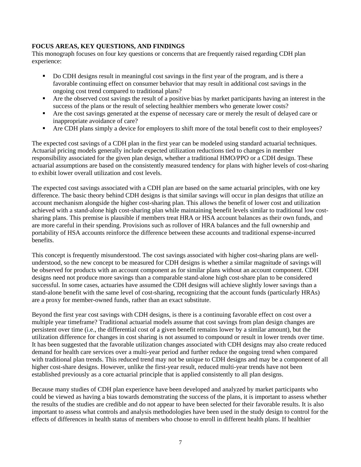# **FOCUS AREAS, KEY QUESTIONS, AND FINDINGS**

This monograph focuses on four key questions or concerns that are frequently raised regarding CDH plan experience:

- Do CDH designs result in meaningful cost savings in the first year of the program, and is there a favorable continuing effect on consumer behavior that may result in additional cost savings in the ongoing cost trend compared to traditional plans?
- Are the observed cost savings the result of a positive bias by market participants having an interest in the success of the plans or the result of selecting healthier members who generate lower costs?
- Are the cost savings generated at the expense of necessary care or merely the result of delayed care or inappropriate avoidance of care?
- Are CDH plans simply a device for employers to shift more of the total benefit cost to their employees?

The expected cost savings of a CDH plan in the first year can be modeled using standard actuarial techniques. Actuarial pricing models generally include expected utilization reductions tied to changes in member responsibility associated for the given plan design, whether a traditional HMO/PPO or a CDH design. These actuarial assumptions are based on the consistently measured tendency for plans with higher levels of cost-sharing to exhibit lower overall utilization and cost levels.

The expected cost savings associated with a CDH plan are based on the same actuarial principles, with one key difference. The basic theory behind CDH designs is that similar savings will occur in plan designs that utilize an account mechanism alongside the higher cost-sharing plan. This allows the benefit of lower cost and utilization achieved with a stand-alone high cost-sharing plan while maintaining benefit levels similar to traditional low costsharing plans. This premise is plausible if members treat HRA or HSA account balances as their own funds, and are more careful in their spending. Provisions such as rollover of HRA balances and the full ownership and portability of HSA accounts reinforce the difference between these accounts and traditional expense-incurred benefits.

This concept is frequently misunderstood. The cost savings associated with higher cost-sharing plans are wellunderstood, so the new concept to be measured for CDH designs is whether a similar magnitude of savings will be observed for products with an account component as for similar plans without an account component. CDH designs need not produce more savings than a comparable stand-alone high cost-share plan to be considered successful. In some cases, actuaries have assumed the CDH designs will achieve slightly lower savings than a stand-alone benefit with the same level of cost-sharing, recognizing that the account funds (particularly HRAs) are a proxy for member-owned funds, rather than an exact substitute.

Beyond the first year cost savings with CDH designs, is there is a continuing favorable effect on cost over a multiple year timeframe? Traditional actuarial models assume that cost savings from plan design changes are persistent over time (i.e., the differential cost of a given benefit remains lower by a similar amount), but the utilization difference for changes in cost sharing is not assumed to compound or result in lower trends over time. It has been suggested that the favorable utilization changes associated with CDH designs may also create reduced demand for health care services over a multi-year period and further reduce the ongoing trend when compared with traditional plan trends. This reduced trend may not be unique to CDH designs and may be a component of all higher cost-share designs. However, unlike the first-year result, reduced multi-year trends have not been established previously as a core actuarial principle that is applied consistently to all plan designs.

Because many studies of CDH plan experience have been developed and analyzed by market participants who could be viewed as having a bias towards demonstrating the success of the plans, it is important to assess whether the results of the studies are credible and do not appear to have been selected for their favorable results. It is also important to assess what controls and analysis methodologies have been used in the study design to control for the effects of differences in health status of members who choose to enroll in different health plans. If healthier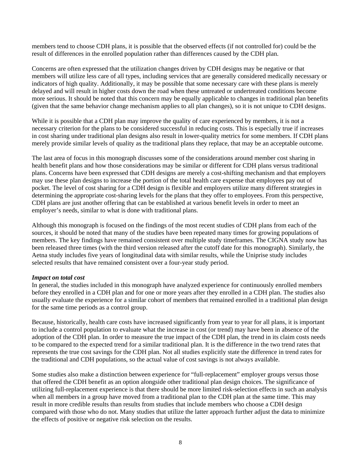members tend to choose CDH plans, it is possible that the observed effects (if not controlled for) could be the result of differences in the enrolled population rather than differences caused by the CDH plan.

Concerns are often expressed that the utilization changes driven by CDH designs may be negative or that members will utilize less care of all types, including services that are generally considered medically necessary or indicators of high quality. Additionally, it may be possible that some necessary care with these plans is merely delayed and will result in higher costs down the road when these untreated or undertreated conditions become more serious. It should be noted that this concern may be equally applicable to changes in traditional plan benefits (given that the same behavior change mechanism applies to all plan changes), so it is not unique to CDH designs.

While it is possible that a CDH plan may improve the quality of care experienced by members, it is not a necessary criterion for the plans to be considered successful in reducing costs. This is especially true if increases in cost sharing under traditional plan designs also result in lower-quality metrics for some members. If CDH plans merely provide similar levels of quality as the traditional plans they replace, that may be an acceptable outcome.

The last area of focus in this monograph discusses some of the considerations around member cost sharing in health benefit plans and how those considerations may be similar or different for CDH plans versus traditional plans. Concerns have been expressed that CDH designs are merely a cost-shifting mechanism and that employers may use these plan designs to increase the portion of the total health care expense that employees pay out of pocket. The level of cost sharing for a CDH design is flexible and employers utilize many different strategies in determining the appropriate cost-sharing levels for the plans that they offer to employees. From this perspective, CDH plans are just another offering that can be established at various benefit levels in order to meet an employer's needs, similar to what is done with traditional plans.

Although this monograph is focused on the findings of the most recent studies of CDH plans from each of the sources, it should be noted that many of the studies have been repeated many times for growing populations of members. The key findings have remained consistent over multiple study timeframes. The CIGNA study now has been released three times (with the third version released after the cutoff date for this monograph). Similarly, the Aetna study includes five years of longitudinal data with similar results, while the Uniprise study includes selected results that have remained consistent over a four-year study period.

#### *Impact on total cost*

In general, the studies included in this monograph have analyzed experience for continuously enrolled members before they enrolled in a CDH plan and for one or more years after they enrolled in a CDH plan. The studies also usually evaluate the experience for a similar cohort of members that remained enrolled in a traditional plan design for the same time periods as a control group.

Because, historically, health care costs have increased significantly from year to year for all plans, it is important to include a control population to evaluate what the increase in cost (or trend) may have been in absence of the adoption of the CDH plan. In order to measure the true impact of the CDH plan, the trend in its claim costs needs to be compared to the expected trend for a similar traditional plan. It is the difference in the two trend rates that represents the true cost savings for the CDH plan. Not all studies explicitly state the difference in trend rates for the traditional and CDH populations, so the actual value of cost savings is not always available.

Some studies also make a distinction between experience for "full-replacement" employer groups versus those that offered the CDH benefit as an option alongside other traditional plan design choices. The significance of utilizing full-replacement experience is that there should be more limited risk-selection effects in such an analysis when all members in a group have moved from a traditional plan to the CDH plan at the same time. This may result in more credible results than results from studies that include members who choose a CDH design compared with those who do not. Many studies that utilize the latter approach further adjust the data to minimize the effects of positive or negative risk selection on the results.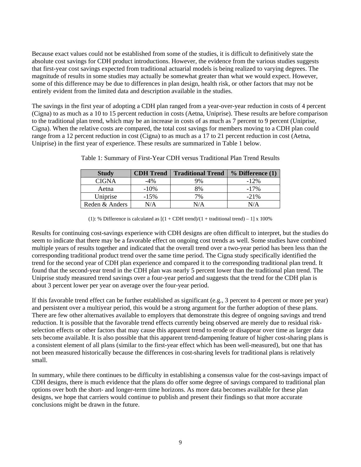Because exact values could not be established from some of the studies, it is difficult to definitively state the absolute cost savings for CDH product introductions. However, the evidence from the various studies suggests that first-year cost savings expected from traditional actuarial models is being realized to varying degrees. The magnitude of results in some studies may actually be somewhat greater than what we would expect. However, some of this difference may be due to differences in plan design, health risk, or other factors that may not be entirely evident from the limited data and description available in the studies.

The savings in the first year of adopting a CDH plan ranged from a year-over-year reduction in costs of 4 percent (Cigna) to as much as a 10 to 15 percent reduction in costs (Aetna, Uniprise). These results are before comparison to the traditional plan trend, which may be an increase in costs of as much as 7 percent to 9 percent (Uniprise, Cigna). When the relative costs are compared, the total cost savings for members moving to a CDH plan could range from a 12 percent reduction in cost (Cigna) to as much as a 17 to 21 percent reduction in cost (Aetna, Uniprise) in the first year of experience. These results are summarized in Table 1 below.

| <b>Study</b>   | <b>CDH</b> Trend | <b>Traditional Trend</b> | $%$ Difference $(1)$ |
|----------------|------------------|--------------------------|----------------------|
| <b>CIGNA</b>   | -4%              | 9%                       | $-12\%$              |
| Aetna          | $-10\%$          | 8%                       | $-17\%$              |
| Uniprise       | $-15%$           | 7%                       | $-21\%$              |
| Reden & Anders | N/A              | N/A                      | N/A                  |

Table 1: Summary of First-Year CDH versus Traditional Plan Trend Results

(1): % Difference is calculated as  $[(1 + CDH trend)/(1 + traditional trend) - 1] \times 100\%$ 

Results for continuing cost-savings experience with CDH designs are often difficult to interpret, but the studies do seem to indicate that there may be a favorable effect on ongoing cost trends as well. Some studies have combined multiple years of results together and indicated that the overall trend over a two-year period has been less than the corresponding traditional product trend over the same time period. The Cigna study specifically identified the trend for the second year of CDH plan experience and compared it to the corresponding traditional plan trend. It found that the second-year trend in the CDH plan was nearly 5 percent lower than the traditional plan trend. The Uniprise study measured trend savings over a four-year period and suggests that the trend for the CDH plan is about 3 percent lower per year on average over the four-year period.

If this favorable trend effect can be further established as significant (e.g., 3 percent to 4 percent or more per year) and persistent over a multiyear period, this would be a strong argument for the further adoption of these plans. There are few other alternatives available to employers that demonstrate this degree of ongoing savings and trend reduction. It is possible that the favorable trend effects currently being observed are merely due to residual riskselection effects or other factors that may cause this apparent trend to erode or disappear over time as larger data sets become available. It is also possible that this apparent trend-dampening feature of higher cost-sharing plans is a consistent element of all plans (similar to the first-year effect which has been well-measured), but one that has not been measured historically because the differences in cost-sharing levels for traditional plans is relatively small.

In summary, while there continues to be difficulty in establishing a consensus value for the cost-savings impact of CDH designs, there is much evidence that the plans do offer some degree of savings compared to traditional plan options over both the short- and longer-term time horizons. As more data becomes available for these plan designs, we hope that carriers would continue to publish and present their findings so that more accurate conclusions might be drawn in the future.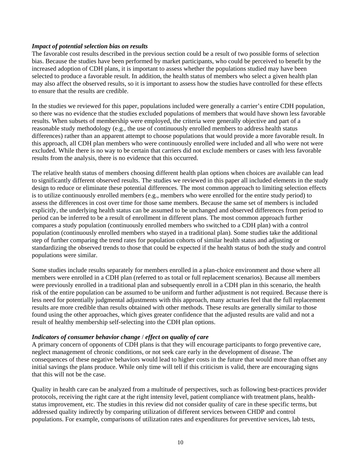#### *Impact of potential selection bias on results*

The favorable cost results described in the previous section could be a result of two possible forms of selection bias. Because the studies have been performed by market participants, who could be perceived to benefit by the increased adoption of CDH plans, it is important to assess whether the populations studied may have been selected to produce a favorable result. In addition, the health status of members who select a given health plan may also affect the observed results, so it is important to assess how the studies have controlled for these effects to ensure that the results are credible.

In the studies we reviewed for this paper, populations included were generally a carrier's entire CDH population, so there was no evidence that the studies excluded populations of members that would have shown less favorable results. When subsets of membership were employed, the criteria were generally objective and part of a reasonable study methodology (e.g., the use of continuously enrolled members to address health status differences) rather than an apparent attempt to choose populations that would provide a more favorable result. In this approach, all CDH plan members who were continuously enrolled were included and all who were not were excluded. While there is no way to be certain that carriers did not exclude members or cases with less favorable results from the analysis, there is no evidence that this occurred.

The relative health status of members choosing different health plan options when choices are available can lead to significantly different observed results. The studies we reviewed in this paper all included elements in the study design to reduce or eliminate these potential differences. The most common approach to limiting selection effects is to utilize continuously enrolled members (e.g., members who were enrolled for the entire study period) to assess the differences in cost over time for those same members. Because the same set of members is included explicitly, the underlying health status can be assumed to be unchanged and observed differences from period to period can be inferred to be a result of enrollment in different plans. The most common approach further compares a study population (continuously enrolled members who switched to a CDH plan) with a control population (continuously enrolled members who stayed in a traditional plan). Some studies take the additional step of further comparing the trend rates for population cohorts of similar health status and adjusting or standardizing the observed trends to those that could be expected if the health status of both the study and control populations were similar.

Some studies include results separately for members enrolled in a plan-choice environment and those where all members were enrolled in a CDH plan (referred to as total or full replacement scenarios). Because all members were previously enrolled in a traditional plan and subsequently enroll in a CDH plan in this scenario, the health risk of the entire population can be assumed to be uniform and further adjustment is not required. Because there is less need for potentially judgmental adjustments with this approach, many actuaries feel that the full replacement results are more credible than results obtained with other methods. These results are generally similar to those found using the other approaches, which gives greater confidence that the adjusted results are valid and not a result of healthy membership self-selecting into the CDH plan options.

# *Indicators of consumer behavior change* / *effect on quality of care*

A primary concern of opponents of CDH plans is that they will encourage participants to forgo preventive care, neglect management of chronic conditions, or not seek care early in the development of disease. The consequences of these negative behaviors would lead to higher costs in the future that would more than offset any initial savings the plans produce. While only time will tell if this criticism is valid, there are encouraging signs that this will not be the case.

Quality in health care can be analyzed from a multitude of perspectives, such as following best-practices provider protocols, receiving the right care at the right intensity level, patient compliance with treatment plans, healthstatus improvement, etc. The studies in this review did not consider quality of care in these specific terms, but addressed quality indirectly by comparing utilization of different services between CHDP and control populations. For example, comparisons of utilization rates and expenditures for preventive services, lab tests,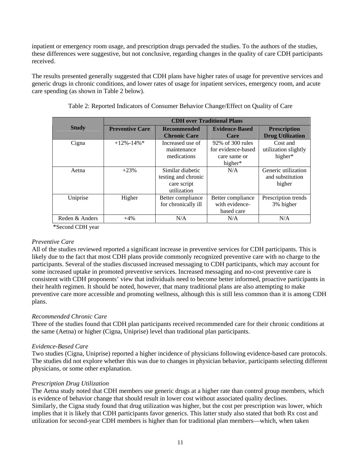inpatient or emergency room usage, and prescription drugs pervaded the studies. To the authors of the studies, these differences were suggestive, but not conclusive, regarding changes in the quality of care CDH participants received.

The results presented generally suggested that CDH plans have higher rates of usage for preventive services and generic drugs in chronic conditions, and lower rates of usage for inpatient services, emergency room, and acute care spending (as shown in Table 2 below).

|                | <b>CDH</b> over Traditional Plans |                     |                       |                         |  |  |
|----------------|-----------------------------------|---------------------|-----------------------|-------------------------|--|--|
| <b>Study</b>   | <b>Preventive Care</b>            | <b>Recommended</b>  | <b>Evidence-Based</b> | <b>Prescription</b>     |  |  |
|                |                                   | <b>Chronic Care</b> | Care                  | <b>Drug Utilization</b> |  |  |
| Cigna          | $+12\% - 14\% *$                  | Increased use of    | 92\% of 300 rules     | Cost and                |  |  |
|                |                                   | maintenance         | for evidence-based    | utilization slightly    |  |  |
|                |                                   | medications         | care same or          | higher*                 |  |  |
|                |                                   |                     | higher*               |                         |  |  |
| Aetna          | $+23%$                            | Similar diabetic    | N/A                   | Generic utilization     |  |  |
|                |                                   | testing and chronic |                       | and substitution        |  |  |
|                |                                   | care script         |                       | higher                  |  |  |
|                |                                   | utilization         |                       |                         |  |  |
| Uniprise       | Higher                            | Better compliance   | Better compliance     | Prescription trends     |  |  |
|                |                                   | for chronically ill | with evidence-        | 3% higher               |  |  |
|                |                                   |                     | based care            |                         |  |  |
| Reden & Anders | $+4%$                             | N/A                 | N/A                   | N/A                     |  |  |

Table 2: Reported Indicators of Consumer Behavior Change/Effect on Quality of Care

\*Second CDH year

# *Preventive Care*

All of the studies reviewed reported a significant increase in preventive services for CDH participants. This is likely due to the fact that most CDH plans provide commonly recognized preventive care with no charge to the participants. Several of the studies discussed increased messaging to CDH participants, which may account for some increased uptake in promoted preventive services. Increased messaging and no-cost preventive care is consistent with CDH proponents' view that individuals need to become better informed, proactive participants in their health regimen. It should be noted, however, that many traditional plans are also attempting to make preventive care more accessible and promoting wellness, although this is still less common than it is among CDH plans.

# *Recommended Chronic Care*

Three of the studies found that CDH plan participants received recommended care for their chronic conditions at the same (Aetna) or higher (Cigna, Uniprise) level than traditional plan participants.

# *Evidence-Based Care*

Two studies (Cigna, Uniprise) reported a higher incidence of physicians following evidence-based care protocols. The studies did not explore whether this was due to changes in physician behavior, participants selecting different physicians, or some other explanation.

# *Prescription Drug Utilization*

The Aetna study noted that CDH members use generic drugs at a higher rate than control group members, which is evidence of behavior change that should result in lower cost without associated quality declines. Similarly, the Cigna study found that drug utilization was higher, but the cost per prescription was lower, which implies that it is likely that CDH participants favor generics. This latter study also stated that both Rx cost and utilization for second-year CDH members is higher than for traditional plan members—which, when taken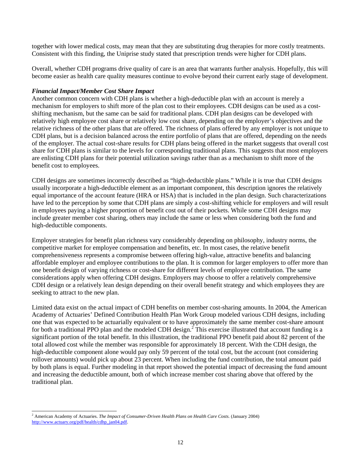together with lower medical costs, may mean that they are substituting drug therapies for more costly treatments. Consistent with this finding, the Uniprise study stated that prescription trends were higher for CDH plans.

Overall, whether CDH programs drive quality of care is an area that warrants further analysis. Hopefully, this will become easier as health care quality measures continue to evolve beyond their current early stage of development.

# *Financial Impact/Member Cost Share Impact*

Another common concern with CDH plans is whether a high-deductible plan with an account is merely a mechanism for employers to shift more of the plan cost to their employees. CDH designs can be used as a costshifting mechanism, but the same can be said for traditional plans. CDH plan designs can be developed with relatively high employee cost share or relatively low cost share, depending on the employer's objectives and the relative richness of the other plans that are offered. The richness of plans offered by any employer is not unique to CDH plans, but is a decision balanced across the entire portfolio of plans that are offered, depending on the needs of the employer. The actual cost-share results for CDH plans being offered in the market suggests that overall cost share for CDH plans is similar to the levels for corresponding traditional plans. This suggests that most employers are enlisting CDH plans for their potential utilization savings rather than as a mechanism to shift more of the benefit cost to employees.

CDH designs are sometimes incorrectly described as "high-deductible plans." While it is true that CDH designs usually incorporate a high-deductible element as an important component, this description ignores the relatively equal importance of the account feature (HRA or HSA) that is included in the plan design. Such characterizations have led to the perception by some that CDH plans are simply a cost-shifting vehicle for employers and will result in employees paying a higher proportion of benefit cost out of their pockets. While some CDH designs may include greater member cost sharing, others may include the same or less when considering both the fund and high-deductible components.

Employer strategies for benefit plan richness vary considerably depending on philosophy, industry norms, the competitive market for employee compensation and benefits, etc. In most cases, the relative benefit comprehensiveness represents a compromise between offering high-value, attractive benefits and balancing affordable employer and employee contributions to the plan. It is common for larger employers to offer more than one benefit design of varying richness or cost-share for different levels of employee contribution. The same considerations apply when offering CDH designs. Employers may choose to offer a relatively comprehensive CDH design or a relatively lean design depending on their overall benefit strategy and which employees they are seeking to attract to the new plan.

Limited data exist on the actual impact of CDH benefits on member cost-sharing amounts. In 2004, the American Academy of Actuaries' Defined Contribution Health Plan Work Group modeled various CDH designs, including one that was expected to be actuarially equivalent or to have approximately the same member cost-share amount for both a traditional PPO plan and the modeled CDH design.<sup>2</sup> This exercise illustrated that account funding is a significant portion of the total benefit. In this illustration, the traditional PPO benefit paid about 82 percent of the total allowed cost while the member was responsible for approximately 18 percent. With the CDH design, the high-deductible component alone would pay only 59 percent of the total cost, but the account (not considering rollover amounts) would pick up about 23 percent. When including the fund contribution, the total amount paid by both plans is equal. Further modeling in that report showed the potential impact of decreasing the fund amount and increasing the deductible amount, both of which increase member cost sharing above that offered by the traditional plan.

 $\overline{a}$ <sup>2</sup> American Academy of Actuaries. *The Impact of Consumer-Driven Health Plans on Health Care Costs.* (January 2004) http://www.actuary.org/pdf/health/cdhp\_jan04.pdf.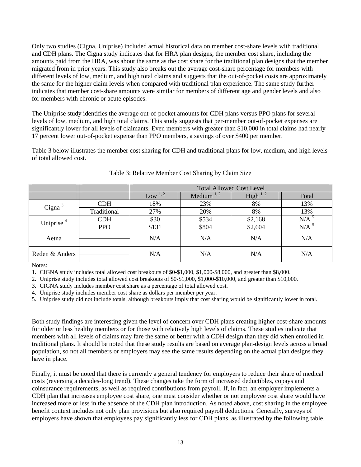Only two studies (Cigna, Uniprise) included actual historical data on member cost-share levels with traditional and CDH plans. The Cigna study indicates that for HRA plan designs, the member cost share, including the amounts paid from the HRA, was about the same as the cost share for the traditional plan designs that the member migrated from in prior years. This study also breaks out the average cost-share percentage for members with different levels of low, medium, and high total claims and suggests that the out-of-pocket costs are approximately the same for the higher claim levels when compared with traditional plan experience. The same study further indicates that member cost-share amounts were similar for members of different age and gender levels and also for members with chronic or acute episodes.

The Uniprise study identifies the average out-of-pocket amounts for CDH plans versus PPO plans for several levels of low, medium, and high total claims. This study suggests that per-member out-of-pocket expenses are significantly lower for all levels of claimants. Even members with greater than \$10,000 in total claims had nearly 17 percent lower out-of-pocket expense than PPO members, a savings of over \$400 per member.

Table 3 below illustrates the member cost sharing for CDH and traditional plans for low, medium, and high levels of total allowed cost.

|                |             | <b>Total Allowed Cost Level</b> |                 |               |       |
|----------------|-------------|---------------------------------|-----------------|---------------|-------|
|                |             | Low $1, 2$                      | Medium $^{1,2}$ | High $^{1,2}$ | Total |
| Cigna $3$      | <b>CDH</b>  | 18%                             | 23%             | 8%            | 13%   |
|                | Traditional | 27%                             | 20%             | 8%            | 13%   |
| Uniprise $4$   | <b>CDH</b>  | \$30                            | \$534           | \$2,168       | N/A   |
|                | <b>PPO</b>  | \$131                           | \$804           | \$2,604       | N/A   |
| Aetna          |             | N/A                             | N/A             | N/A           | N/A   |
| Reden & Anders |             | N/A                             | N/A             | N/A           | N/A   |

# Table 3: Relative Member Cost Sharing by Claim Size

Notes:

1. CIGNA study includes total allowed cost breakouts of \$0-\$1,000, \$1,000-\$8,000, and greater than \$8,000.

2. Uniprise study includes total allowed cost breakouts of \$0-\$1,000, \$1,000-\$10,000, and greater than \$10,000.

3. CIGNA study includes member cost share as a percentage of total allowed cost.

4. Uniprise study includes member cost share as dollars per member per year.

5. Uniprise study did not include totals, although breakouts imply that cost sharing would be significantly lower in total.

Both study findings are interesting given the level of concern over CDH plans creating higher cost-share amounts for older or less healthy members or for those with relatively high levels of claims. These studies indicate that members with all levels of claims may fare the same or better with a CDH design than they did when enrolled in traditional plans. It should be noted that these study results are based on average plan-design levels across a broad population, so not all members or employers may see the same results depending on the actual plan designs they have in place.

Finally, it must be noted that there is currently a general tendency for employers to reduce their share of medical costs (reversing a decades-long trend). These changes take the form of increased deductibles, copays and coinsurance requirements, as well as required contributions from payroll. If, in fact, an employer implements a CDH plan that increases employee cost share, one must consider whether or not employee cost share would have increased more or less in the absence of the CDH plan introduction. As noted above, cost sharing in the employee benefit context includes not only plan provisions but also required payroll deductions. Generally, surveys of employers have shown that employees pay significantly less for CDH plans, as illustrated by the following table.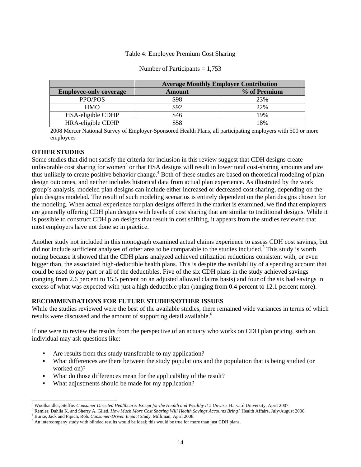## Table 4: Employee Premium Cost Sharing

|                               | <b>Average Monthly Employee Contribution</b> |              |  |
|-------------------------------|----------------------------------------------|--------------|--|
| <b>Employee-only coverage</b> | <b>Amount</b>                                | % of Premium |  |
| PPO/POS                       | \$98                                         | 23%          |  |
| <b>HMO</b>                    | \$92                                         | 22%          |  |
| HSA-eligible CDHP             | \$46                                         | 19%          |  |
| HRA-eligible CDHP             | \$58                                         | 18%          |  |

#### Number of Participants  $= 1,753$

2008 Mercer National Survey of Employer-Sponsored Health Plans, all participating employers with 500 or more employees

#### **OTHER STUDIES**

Some studies that did not satisfy the criteria for inclusion in this review suggest that CDH designs create unfavorable cost sharing for women<sup>3</sup> or that HSA designs will result in lower total cost-sharing amounts and are thus unlikely to create positive behavior change.<sup>4</sup> Both of these studies are based on theoretical modeling of plandesign outcomes, and neither includes historical data from actual plan experience. As illustrated by the work group's analysis, modeled plan designs can include either increased or decreased cost sharing, depending on the plan designs modeled. The result of such modeling scenarios is entirely dependent on the plan designs chosen for the modeling. When actual experience for plan designs offered in the market is examined, we find that employers are generally offering CDH plan designs with levels of cost sharing that are similar to traditional designs. While it is possible to construct CDH plan designs that result in cost shifting, it appears from the studies reviewed that most employers have not done so in practice.

Another study not included in this monograph examined actual claims experience to assess CDH cost savings, but did not include sufficient analyses of other area to be comparable to the studies included.<sup>5</sup> This study is worth noting because it showed that the CDH plans analyzed achieved utilization reductions consistent with, or even bigger than, the associated high-deductible health plans. This is despite the availability of a spending account that could be used to pay part or all of the deductibles. Five of the six CDH plans in the study achieved savings (ranging from 2.6 percent to 15.5 percent on an adjusted allowed claims basis) and four of the six had savings in excess of what was expected with just a high deductible plan (ranging from 0.4 percent to 12.1 percent more).

#### **RECOMMENDATIONS FOR FUTURE STUDIES/OTHER ISSUES**

While the studies reviewed were the best of the available studies, there remained wide variances in terms of which results were discussed and the amount of supporting detail available.<sup>6</sup>

If one were to review the results from the perspective of an actuary who works on CDH plan pricing, such an individual may ask questions like:

- Are results from this study transferable to my application?
- What differences are there between the study populations and the population that is being studied (or worked on)?
- What do those differences mean for the applicability of the result?
- What adjustments should be made for my application?

<sup>5</sup> Burke, Jack and Pipich, Rob. *Consumer-Driven Impact Study*. Milliman, April 2008.

 $\overline{a}$ <sup>3</sup> Woolhandler, Steffie. *Consumer Directed Healthcare: Except for the Health and Wealthy It's Unwise.* Harvard University, April 2007.  $^4$  Pombar, Dablie K, and Sharry A. Glied, Hay Much Marg Cost Sharing Will Health S

Remler, Dahlia K. and Sherry A. Glied. *How Much More Cost Sharing Will Health Savings Accounts Bring?* Health Affairs, July/August 2006.

<sup>6</sup> An intercompany study with blinded results would be ideal; this would be true for more than just CDH plans.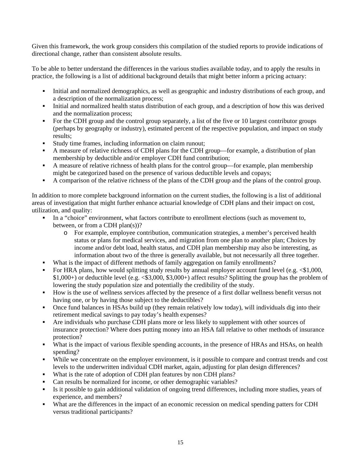Given this framework, the work group considers this compilation of the studied reports to provide indications of directional change, rather than consistent absolute results.

To be able to better understand the differences in the various studies available today, and to apply the results in practice, the following is a list of additional background details that might better inform a pricing actuary:

- Initial and normalized demographics, as well as geographic and industry distributions of each group, and a description of the normalization process;
- Initial and normalized health status distribution of each group, and a description of how this was derived and the normalization process;
- For the CDH group and the control group separately, a list of the five or 10 largest contributor groups (perhaps by geography or industry), estimated percent of the respective population, and impact on study results;
- Study time frames, including information on claim runout;
- A measure of relative richness of CDH plans for the CDH group—for example, a distribution of plan membership by deductible and/or employer CDH fund contribution;
- A measure of relative richness of health plans for the control group—for example, plan membership might be categorized based on the presence of various deductible levels and copays;
- A comparison of the relative richness of the plans of the CDH group and the plans of the control group.

In addition to more complete background information on the current studies, the following is a list of additional areas of investigation that might further enhance actuarial knowledge of CDH plans and their impact on cost, utilization, and quality:

- In a "choice" environment, what factors contribute to enrollment elections (such as movement to, between, or from a CDH plan(s))?
	- o For example, employee contribution, communication strategies, a member's perceived health status or plans for medical services, and migration from one plan to another plan; Choices by income and/or debt load, health status, and CDH plan membership may also be interesting, as information about two of the three is generally available, but not necessarily all three together.
- What is the impact of different methods of family aggregation on family enrollments?
- For HRA plans, how would splitting study results by annual employer account fund level (e.g.  $\leq 1,000$ , \$1,000+) or deductible level (e.g. <\$3,000, \$3,000+) affect results? Splitting the group has the problem of lowering the study population size and potentially the credibility of the study.
- How is the use of wellness services affected by the presence of a first dollar wellness benefit versus not having one, or by having those subject to the deductibles?
- Once fund balances in HSAs build up (they remain relatively low today), will individuals dig into their retirement medical savings to pay today's health expenses?
- Are individuals who purchase CDH plans more or less likely to supplement with other sources of insurance protection? Where does putting money into an HSA fall relative to other methods of insurance protection?
- What is the impact of various flexible spending accounts, in the presence of HRAs and HSAs, on health spending?
- While we concentrate on the employer environment, is it possible to compare and contrast trends and cost levels to the underwritten individual CDH market, again, adjusting for plan design differences?
- What is the rate of adoption of CDH plan features by non CDH plans?
- Can results be normalized for income, or other demographic variables?
- Is it possible to gain additional validation of ongoing trend differences, including more studies, years of experience, and members?
- What are the differences in the impact of an economic recession on medical spending patters for CDH versus traditional participants?